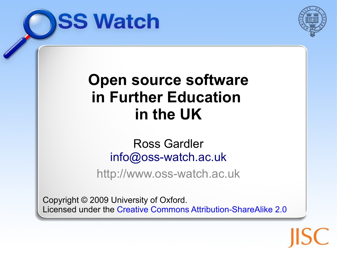



#### **Open source software in Further Education [in t](file:///Users/rgardler/Downloads/)he UK**

#### [Ross Gard](file:///Users/rgardler/Downloads/)ler [info@oss-watch.ac.uk](mailto:info@oss-watch.ac.uk)

http://www.oss-watch.ac.uk

Copyright © 2009 University of Oxford. Licensed under the [Creative Commons Attribution-ShareAlike 2.0](http://creativecommons.org/licenses/by-sa/2.0/uk/)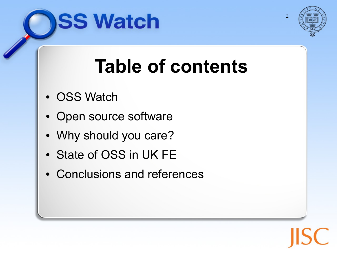



 $\mathcal{D}$ 

#### **Table of contents**

- OSS Watch
- Open source software
- Why should you care?
- State of OSS in UK FE
- Conclusions and references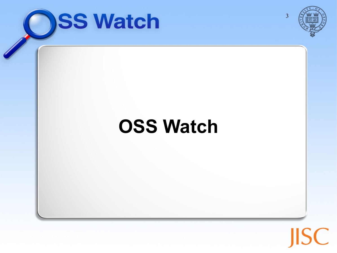

 $\bigcap$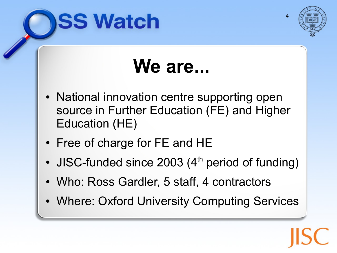



#### **We are...**

- National innovation centre supporting open source in Further Education (FE) and Higher Education (HE)
- Free of charge for FE and HE
- JISC-funded since 2003  $(4<sup>th</sup>$  period of funding)
- Who: Ross Gardler, 5 staff, 4 contractors
- Where: Oxford University Computing Services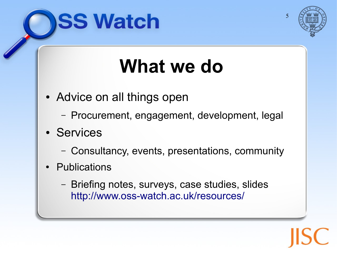



#### **What we do**

- Advice on all things open
	- Procurement, engagement, development, legal
- Se[rvices](file:///Users/rgardler/Downloads/)
	- Consultancy, events, presentations, community
- Publications
	- Briefing notes, surveys, case studies, slides <http://www.oss-watch.ac.uk/resources/>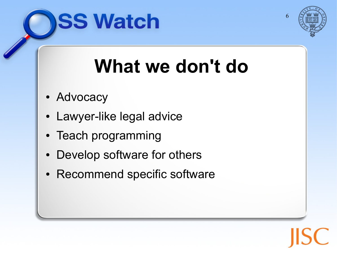



#### **What we don't do**

- Advocacy
- Lawyer-like legal advice
- Teach programming
- Develop software for others
- Recommend specific software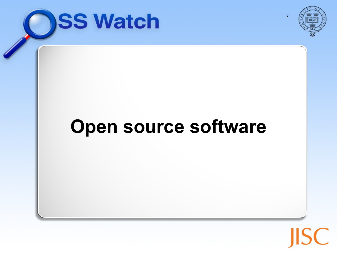

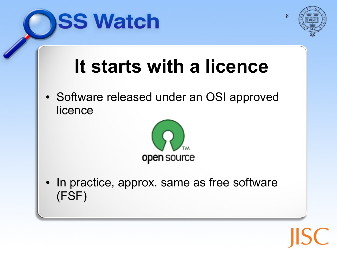



#### **It starts with a licence**

• Software released under an OSI approved licence



• In practice, approx. same as free software (FSF)

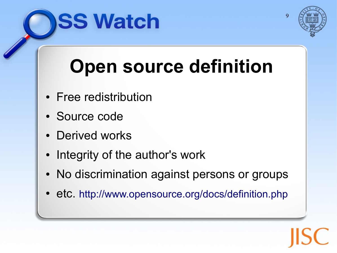



 $\overline{Q}$ 

## **Open source definition**

- Free redistribution
- Source code
- Deri[ved works](file:///Users/rgardler/Downloads/)
- Integrity of the author's work
- No discrimination against persons or groups
- etc. <http://www.opensource.org/docs/definition.php>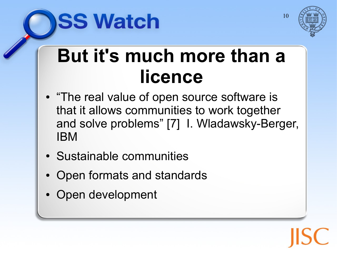



#### **But it's much more than a licence**

- "The real value of open source software is that it allows communities to work together and solve problems" [7] I. Wladawsky-Berger, IBM
- Sustainable communities
- Open formats and standards
- Open development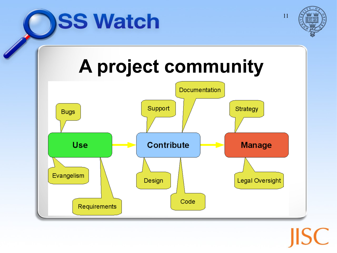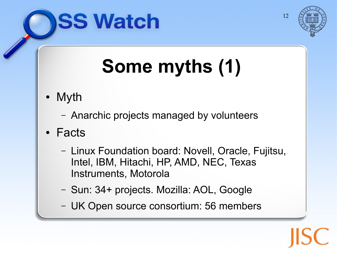



# **Some myths (1)**

- Myth
	- Anarchic projects managed by volunteers
- Facts
	- Linux Foundation board: Novell, Oracle, Fujitsu, Intel, IBM, Hitachi, HP, AMD, NEC, Texas Instruments, Motorola
	- Sun: 34+ projects. Mozilla: AOL, Google
	- UK Open source consortium: 56 members

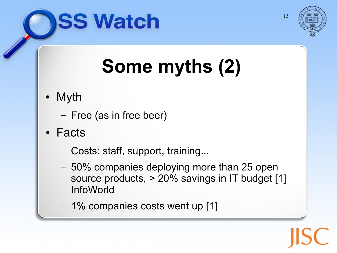



## **Some myths (2)**

- Myth
	- Free (as in free beer)
- Facts
	- Costs: staff, support, training...
	- 50% companies deploying more than 25 open source products, > 20% savings in IT budget [1] InfoWorld
	- 1% companies costs went up [1]

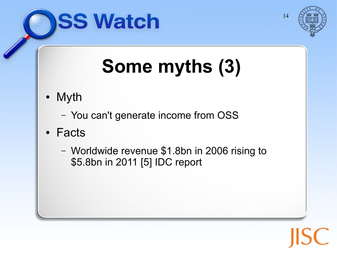



## **Some myths (3)**

- Myth
	- You can't generate income from OSS
- Facts
	- Worldwide revenue \$1.8bn in 2006 rising to \$5.8bn in 2011 [5] IDC report

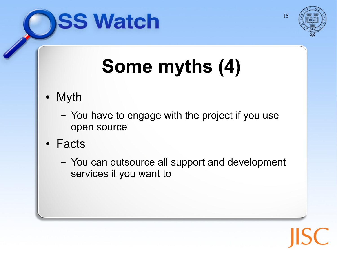



# **Some myths (4)**

- Myth
	- You have to engage with the project if you use open source
- Facts
	- You can outsource all support and development services if you want to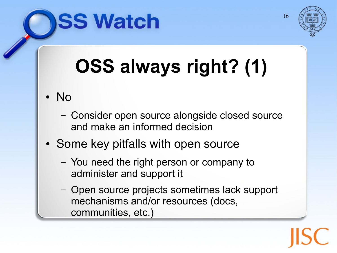

# **OSS always right? (1)**

- No
	- Consider open source alongside closed source and make an informed decision
- Some key pitfalls with open source

- You need the right person or company to administer and support it
- Open source projects sometimes lack support mechanisms and/or resources (docs, communities, etc.)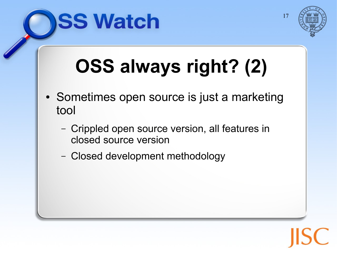

## **OSS always right? (2)**

- Sometimes open source is just a marketing tool
	- Crippled open source version, all features in closed source version
	- Closed development methodology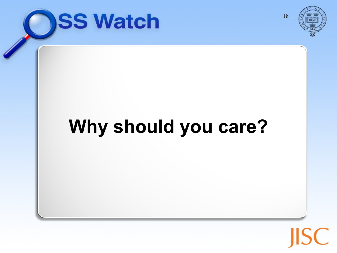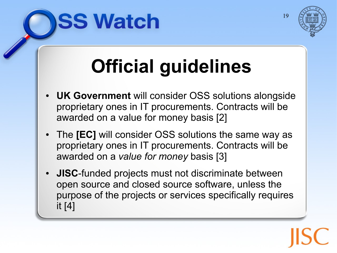

## **Official guidelines**

- **UK Government** will consider OSS solutions alongside proprietary ones in IT procurements. Contracts will be awarded on a value for money basis [2]
- The **[EC]** will consider OSS solutions the same way as proprietary ones in IT procurements. Contracts will be awarded on a *value for money* basis [3]
- **JISC-funded projects must not discriminate between** open source and closed source software, unless the purpose of the projects or services specifically requires it [4]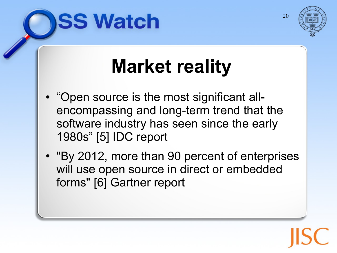



## **Market reality**

- "Open source is the most significant allencompassing and long-term trend that the software industry has seen since the early 1980s" [5] IDC report
- "By 2012, more than 90 percent of enterprises will use open source in direct or embedded forms" [6] Gartner report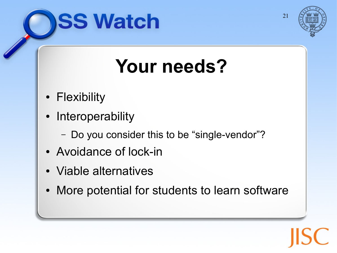



#### **Your needs?**

- Flexibility
- Interoperability
	- Do you consider this to be "single-vendor"?
- Avoidance of lock-in
- Viable alternatives
- More potential for students to learn software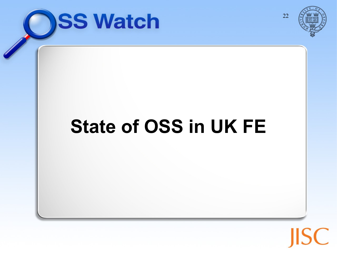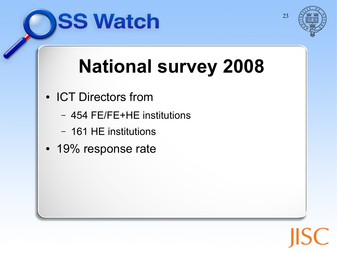



## **National survey 2008**

- ICT Directors from
	- 454 FE/FE+HE institutions
	- 161 HE institutions
- 19% response rate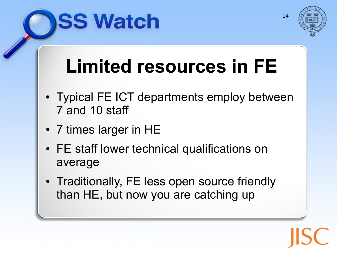

#### **Limited resources in FE**

- Typical FE ICT departments employ between 7 and 10 staff
- 7 times larger in HE

- FE staff lower technical qualifications on average
- Traditionally, FE less open source friendly than HE, but now you are catching up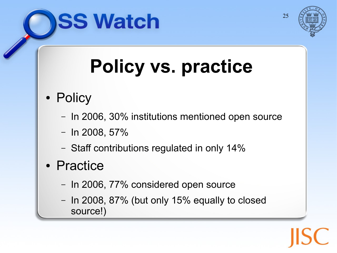

## **Policy vs. practice**

- Policy
	- In 2006, 30% institutions mentioned open source
	- $-$  In 2008, 57%

- Staff contributions regulated in only 14%
- Practice
	- In 2006, 77% considered open source
	- In 2008, 87% (but only 15% equally to closed source!)

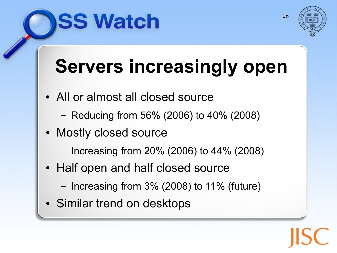



## **Servers increasingly open**

- All or almost all closed source
	- Reducing from 56% (2006) to 40% (2008)
- Mostly closed source
	- Increasing from 20% (2006) to 44% (2008)
- Half open and half closed source
	- Increasing from 3% (2008) to 11% (future)
- Similar trend on desktops

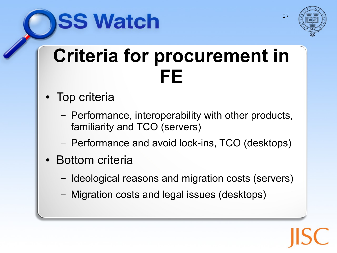



#### **Criteria for procurement in FE**

- Top criteria
	- Performance, interoperability with other products, familiarity and TCO (servers)
	- Performance and avoid lock-ins, TCO (desktops)
- Bottom criteria
	- Ideological reasons and migration costs (servers)
	- Migration costs and legal issues (desktops)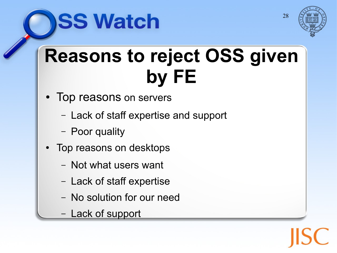



#### **Reasons to reject OSS given by FE**

- Top reasons on servers
	- Lack of staff expertise and support
	- Poor quality
- Top reasons on desktops
	- Not what users want
	- Lack of staff expertise
	- No solution for our need
	- Lack of support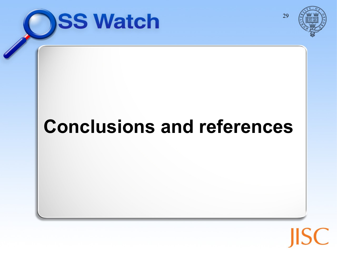



#### **Conclusions and references**

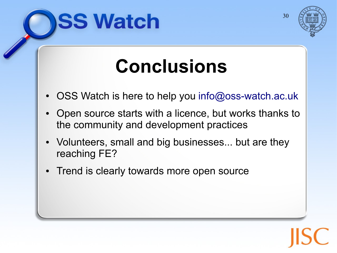



#### **Co[nclusio](file:///Users/rgardler/Downloads/)ns**

- OSS Watch is here to help you [info@oss-watch.ac.uk](mailto:info@oss-watch.ac.uk)
- Open source starts with a licence, but works thanks to the community and development practices
- Volunteers, small and big businesses... but are they reaching FE?
- Trend is clearly towards more open source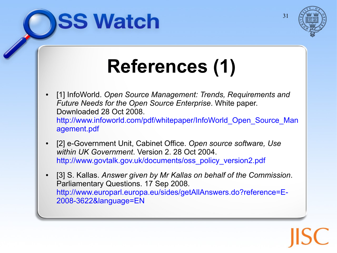



## **References (1)**

- [1] InfoWorld. Open Source Management: Trends, Requirements and *Future Needs for the Open Source Enterprise*. White paper. Do[wnloaded 28 Oct 2008.](file:///Users/rgardler/Downloads/) http://www.infoworld.com/pdf/whitepaper/InfoWorld\_Open\_Source\_Man agement.pdf
- [2] e-Government Unit, Cabinet Office. *Open source software, Use within UK Government*. Version 2. 28 Oct 2004. [http://www.govtalk.gov.uk/documents/oss\\_policy\\_version2.pdf](http://www.govtalk.gov.uk/documents/oss_policy_version2.pdf)
- [3] S. Kallas. *Answer given by Mr Kallas on behalf of the Commission*. Parliamentary Questions. 17 Sep 2008. http://www.europarl.europa.eu/sides/getAllAnswers.do?reference=E-2008-3622&language=EN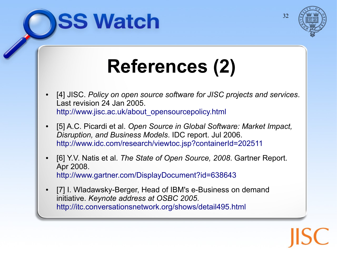



## **References (2)**

- [4] JISC. Policy on open source software for JISC projects and services. La[st revision 24 Jan 2005.](file:///Users/rgardler/Downloads/) [http://www.jisc.ac.uk/about\\_opensourcepolicy.html](http://www.jisc.ac.uk/about_opensourcepolicy.html)
- [5] A.C. Picardi et al. Open Source in Global Software: Market Impact, *Di[sruption, and Business Models](file:///Users/rgardler/Downloads/)*. IDC report. Jul 2006. <http://www.idc.com/research/viewtoc.jsp?containerId=202511>
- [6] Y.V. Natis et al. *The State of Open Source, 2008*. Gartner Report. Apr 2008. <http://www.gartner.com/DisplayDocument?id=638643>
- [7] I. Wladawsky-Berger, Head of IBM's e-Business on demand initiative. *Keynote address at OSBC 2005*. <http://itc.conversationsnetwork.org/shows/detail495.html>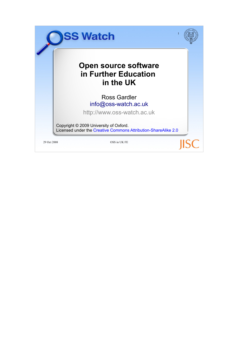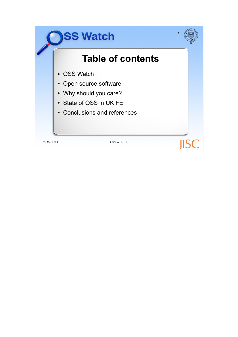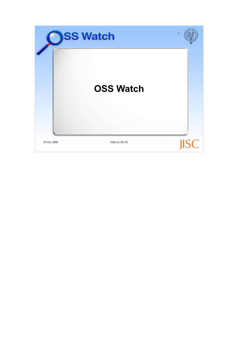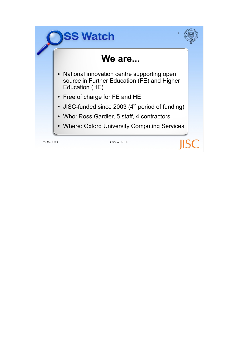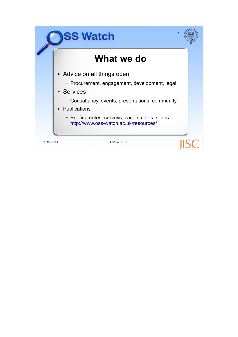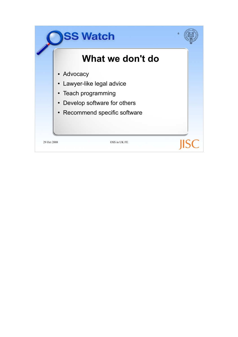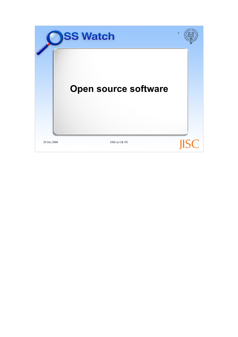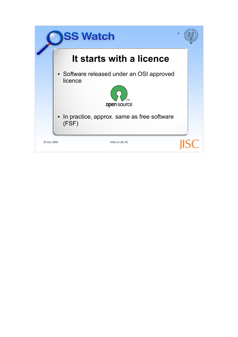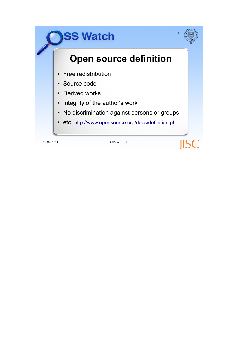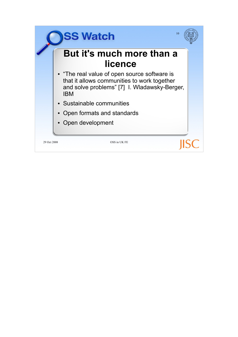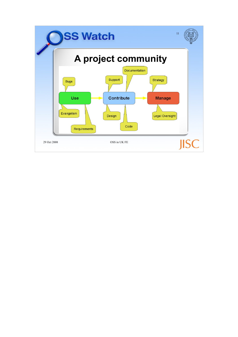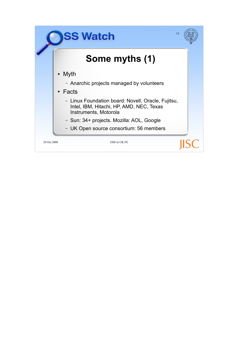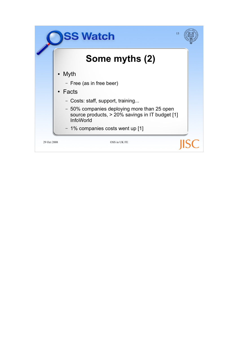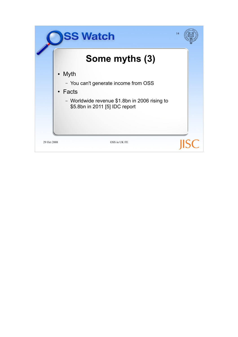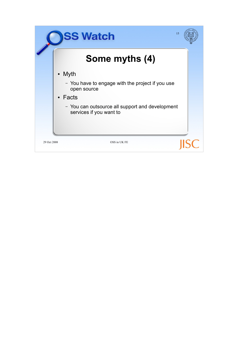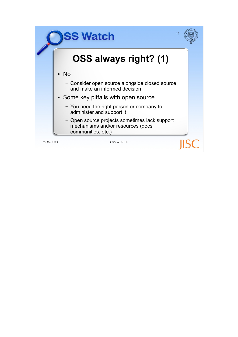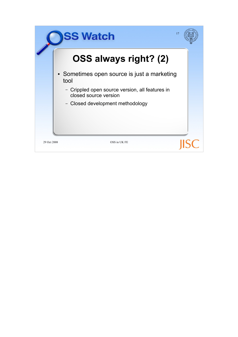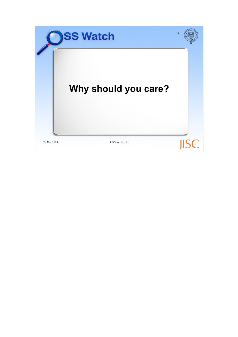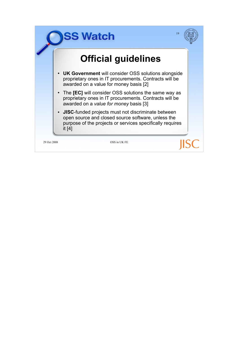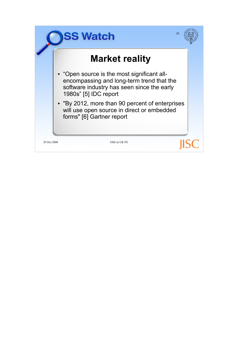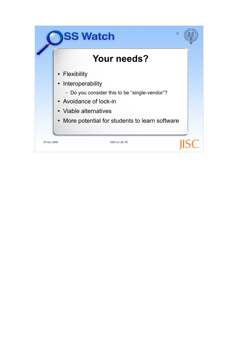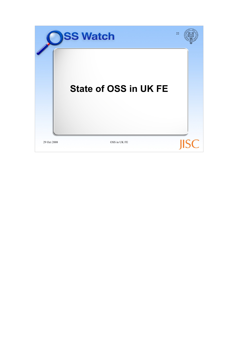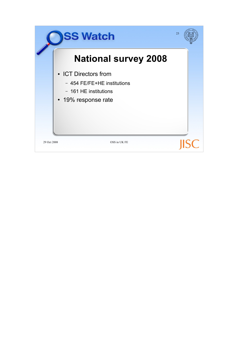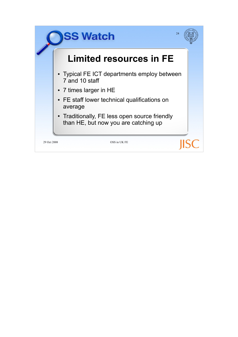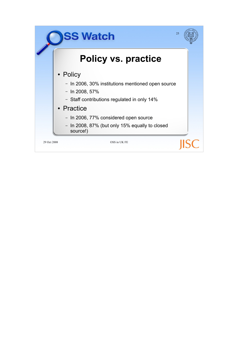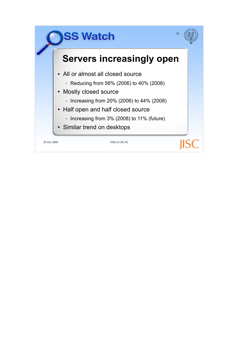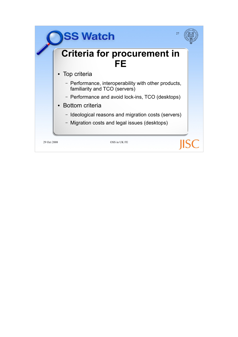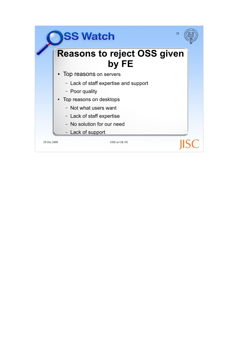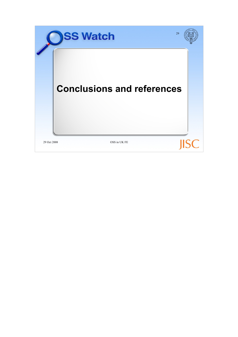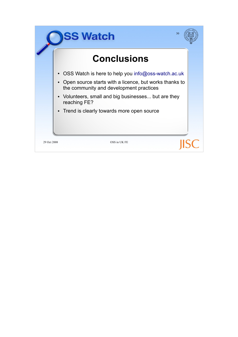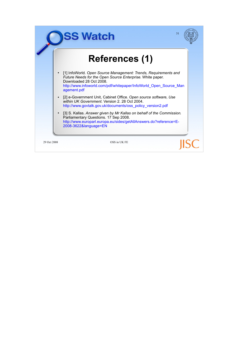